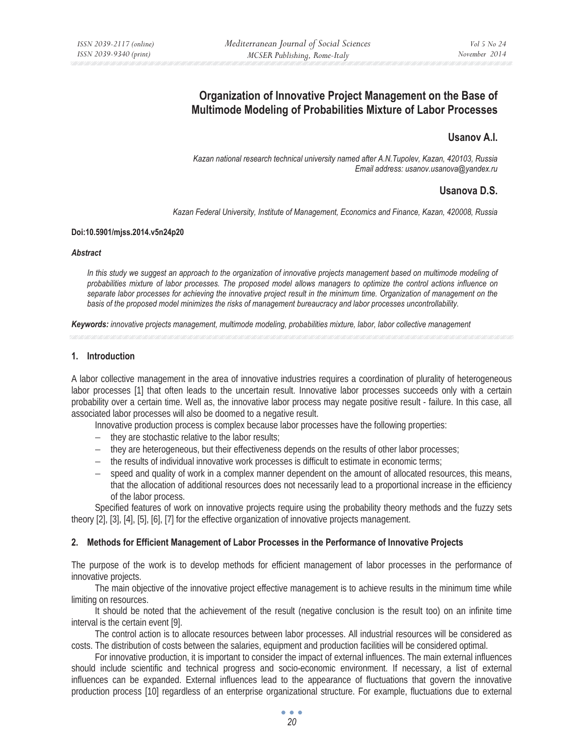# **Organization of Innovative Project Management on the Base of Multimode Modeling of Probabilities Mixture of Labor Processes**

## **Usanov A.I.**

*Kazan national research technical university named after A.N.Tupolev, Kazan, 420103, Russia Email address: usanov.usanova@yandex.ru* 

## **Usanova D.S.**

*Kazan Federal University, Institute of Management, Economics and Finance, Kazan, 420008, Russia* 

#### **Doi:10.5901/mjss.2014.v5n24p20**

#### *Abstract*

*In this study we suggest an approach to the organization of innovative projects management based on multimode modeling of probabilities mixture of labor processes. The proposed model allows managers to optimize the control actions influence on separate labor processes for achieving the innovative project result in the minimum time. Organization of management on the basis of the proposed model minimizes the risks of management bureaucracy and labor processes uncontrollability.* 

*Keywords: innovative projects management, multimode modeling, probabilities mixture, labor, labor collective management*

## **1. Introduction**

A labor collective management in the area of innovative industries requires a coordination of plurality of heterogeneous labor processes [1] that often leads to the uncertain result. Innovative labor processes succeeds only with a certain probability over a certain time. Well as, the innovative labor process may negate positive result - failure. In this case, all associated labor processes will also be doomed to a negative result.

Innovative production process is complex because labor processes have the following properties:

- − they are stochastic relative to the labor results;
- − they are heterogeneous, but their effectiveness depends on the results of other labor processes;
- − the results of individual innovative work processes is difficult to estimate in economic terms;
- − speed and quality of work in a complex manner dependent on the amount of allocated resources, this means, that the allocation of additional resources does not necessarily lead to a proportional increase in the efficiency of the labor process.

Specified features of work on innovative projects require using the probability theory methods and the fuzzy sets theory [2], [3], [4], [5], [6], [7] for the effective organization of innovative projects management.

## **2. Methods for Efficient Management of Labor Processes in the Performance of Innovative Projects**

The purpose of the work is to develop methods for efficient management of labor processes in the performance of innovative projects.

The main objective of the innovative project effective management is to achieve results in the minimum time while limiting on resources.

It should be noted that the achievement of the result (negative conclusion is the result too) on an infinite time interval is the certain event [9].

The control action is to allocate resources between labor processes. All industrial resources will be considered as costs. The distribution of costs between the salaries, equipment and production facilities will be considered optimal.

For innovative production, it is important to consider the impact of external influences. The main external influences should include scientific and technical progress and socio-economic environment. If necessary, a list of external influences can be expanded. External influences lead to the appearance of fluctuations that govern the innovative production process [10] regardless of an enterprise organizational structure. For example, fluctuations due to external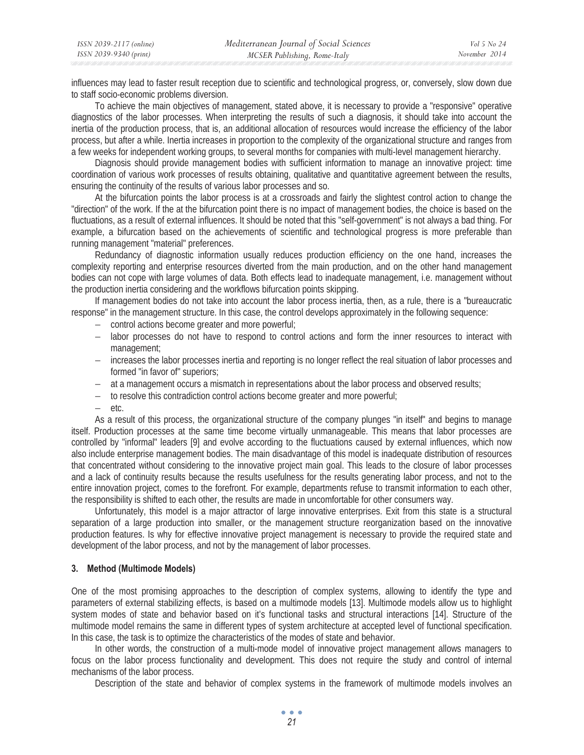| ISSN 2039-2117 (online) | Mediterranean Journal of Social Sciences | Vol 5 No 24   |
|-------------------------|------------------------------------------|---------------|
| ISSN 2039-9340 (print)  | MCSER Publishing, Rome-Italy             | November 2014 |

influences may lead to faster result reception due to scientific and technological progress, or, conversely, slow down due to staff socio-economic problems diversion.

To achieve the main objectives of management, stated above, it is necessary to provide a "responsive" operative diagnostics of the labor processes. When interpreting the results of such a diagnosis, it should take into account the inertia of the production process, that is, an additional allocation of resources would increase the efficiency of the labor process, but after a while. Inertia increases in proportion to the complexity of the organizational structure and ranges from a few weeks for independent working groups, to several months for companies with multi-level management hierarchy.

Diagnosis should provide management bodies with sufficient information to manage an innovative project: time coordination of various work processes of results obtaining, qualitative and quantitative agreement between the results, ensuring the continuity of the results of various labor processes and so.

At the bifurcation points the labor process is at a crossroads and fairly the slightest control action to change the "direction" of the work. If the at the bifurcation point there is no impact of management bodies, the choice is based on the fluctuations, as a result of external influences. It should be noted that this "self-government" is not always a bad thing. For example, a bifurcation based on the achievements of scientific and technological progress is more preferable than running management "material" preferences.

Redundancy of diagnostic information usually reduces production efficiency on the one hand, increases the complexity reporting and enterprise resources diverted from the main production, and on the other hand management bodies can not cope with large volumes of data. Both effects lead to inadequate management, i.e. management without the production inertia considering and the workflows bifurcation points skipping.

If management bodies do not take into account the labor process inertia, then, as a rule, there is a "bureaucratic response" in the management structure. In this case, the control develops approximately in the following sequence:

- − control actions become greater and more powerful;
- − labor processes do not have to respond to control actions and form the inner resources to interact with management;
- − increases the labor processes inertia and reporting is no longer reflect the real situation of labor processes and formed "in favor of" superiors;
- − at a management occurs a mismatch in representations about the labor process and observed results;
- − to resolve this contradiction control actions become greater and more powerful;
- − etc.

As a result of this process, the organizational structure of the company plunges "in itself" and begins to manage itself. Production processes at the same time become virtually unmanageable. This means that labor processes are controlled by "informal" leaders [9] and evolve according to the fluctuations caused by external influences, which now also include enterprise management bodies. The main disadvantage of this model is inadequate distribution of resources that concentrated without considering to the innovative project main goal. This leads to the closure of labor processes and a lack of continuity results because the results usefulness for the results generating labor process, and not to the entire innovation project, comes to the forefront. For example, departments refuse to transmit information to each other, the responsibility is shifted to each other, the results are made in uncomfortable for other consumers way.

Unfortunately, this model is a major attractor of large innovative enterprises. Exit from this state is a structural separation of a large production into smaller, or the management structure reorganization based on the innovative production features. Is why for effective innovative project management is necessary to provide the required state and development of the labor process, and not by the management of labor processes.

#### **3. Method (Multimode Models)**

One of the most promising approaches to the description of complex systems, allowing to identify the type and parameters of external stabilizing effects, is based on a multimode models [13]. Multimode models allow us to highlight system modes of state and behavior based on it's functional tasks and structural interactions [14]. Structure of the multimode model remains the same in different types of system architecture at accepted level of functional specification. In this case, the task is to optimize the characteristics of the modes of state and behavior.

In other words, the construction of a multi-mode model of innovative project management allows managers to focus on the labor process functionality and development. This does not require the study and control of internal mechanisms of the labor process.

Description of the state and behavior of complex systems in the framework of multimode models involves an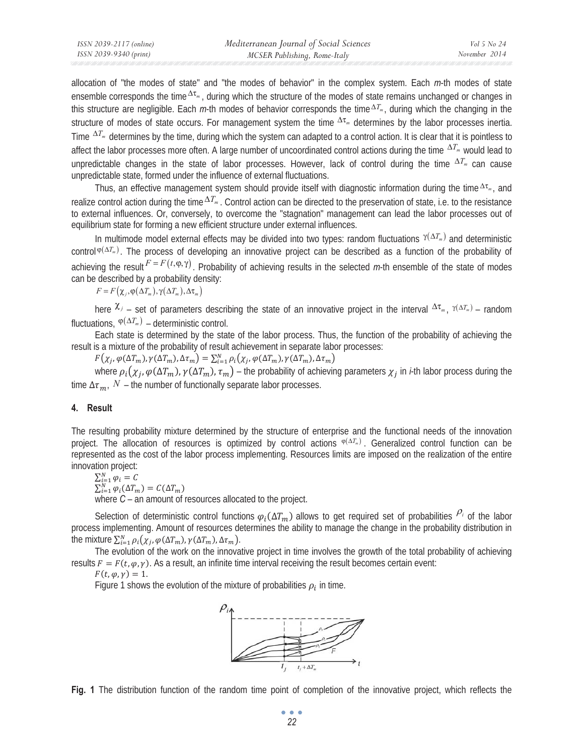| ISSN 2039-2117 (online) | Mediterranean Journal of Social Sciences | Vol 5 No 24   |
|-------------------------|------------------------------------------|---------------|
| ISSN 2039-9340 (print)  | MCSER Publishing, Rome-Italy             | November 2014 |

allocation of "the modes of state" and "the modes of behavior" in the complex system. Each *m*-th modes of state ensemble corresponds the time<sup> $\Delta \tau$ </sup>, during which the structure of the modes of state remains unchanged or changes in this structure are negligible. Each m-th modes of behavior corresponds the time  $\Delta T_m$ , during which the changing in the structure of modes of state occurs. For management system the time Δτ<sub>m</sub> determines by the labor processes inertia. Time  $\Delta T_m$  determines by the time, during which the system can adapted to a control action. It is clear that it is pointless to affect the labor processes more often. A large number of uncoordinated control actions during the time  $^{\Delta T_m}$  would lead to unpredictable changes in the state of labor processes. However, lack of control during the time  $^{\Delta T_m}$  can cause unpredictable state, formed under the influence of external fluctuations.

Thus, an effective management system should provide itself with diagnostic information during the time  $\Delta\tau_{m}$ , and realize control action during the time  $\Delta T_m$  . Control action can be directed to the preservation of state, i.e. to the resistance to external influences. Or, conversely, to overcome the "stagnation" management can lead the labor processes out of equilibrium state for forming a new efficient structure under external influences.

In multimode model external effects may be divided into two types: random fluctuations  $\gamma(\Delta T_m)$  and deterministic control  $\varphi(\Delta T_m)$ . The process of developing an innovative project can be described as a function of the probability of achieving the result  $F = F(t, \varphi, \gamma)$ . Probability of achieving results in the selected m-th ensemble of the state of modes can be described by a probability density:

 $F = F(\chi_i, \varphi(\Delta T_m), \gamma(\Delta T_m), \Delta \tau_m)$ 

here  $\chi_j$  – set of parameters describing the state of an innovative project in the interval Δτ<sub>*m*, γ(ΔΤ<sub>*m*</sub>) – random</sub> fluctuations,  $\Phi(\Delta T_m)$  – deterministic control.

Each state is determined by the state of the labor process. Thus, the function of the probability of achieving the result is a mixture of the probability of result achievement in separate labor processes:

 $F(\chi_j, \varphi(\Delta T_m), \gamma(\Delta T_m), \Delta \tau_m) = \sum_{i=1}^N \rho_i(\chi_j, \varphi(\Delta T_m), \gamma(\Delta T_m), \Delta \tau_m)$ 

where  $\rho_i(\chi_j, \varphi(\Delta T_m), \gamma(\Delta T_m), \tau_m)$  – the probability of achieving parameters  $\chi_i$  in *i*-th labor process during the time  $\Delta \tau_{m}$ ,  $N$  – the number of functionally separate labor processes.

## **4. Result**

The resulting probability mixture determined by the structure of enterprise and the functional needs of the innovation project. The allocation of resources is optimized by control actions  $\varphi(\Delta T_m)$ . Generalized control function can be represented as the cost of the labor process implementing. Resources limits are imposed on the realization of the entire innovation project:

 $\sum_{i=1}^N \varphi_i = C$  $\sum_{i=1}^{N} \varphi_i(\Delta T_m) = C(\Delta T_m)$ where *C* – an amount of resources allocated to the project.

Selection of deterministic control functions  $\varphi_i(\Delta T_m)$  allows to get required set of probabilities  $P_i$  of the labor process implementing. Amount of resources determines the ability to manage the change in the probability distribution in the mixture  $\sum_{i=1}^{N} \rho_i(\chi_j, \varphi(\Delta T_m), \chi(\Delta T_m), \Delta \tau_m)$ .

The evolution of the work on the innovative project in time involves the growth of the total probability of achieving results  $F = F(t, \varphi, \gamma)$ . As a result, an infinite time interval receiving the result becomes certain event:

 $F(t, \varphi, \gamma) = 1.$ 

Figure 1 shows the evolution of the mixture of probabilities  $\rho_i$  in time.



**Fig. 1** The distribution function of the random time point of completion of the innovative project, which reflects the